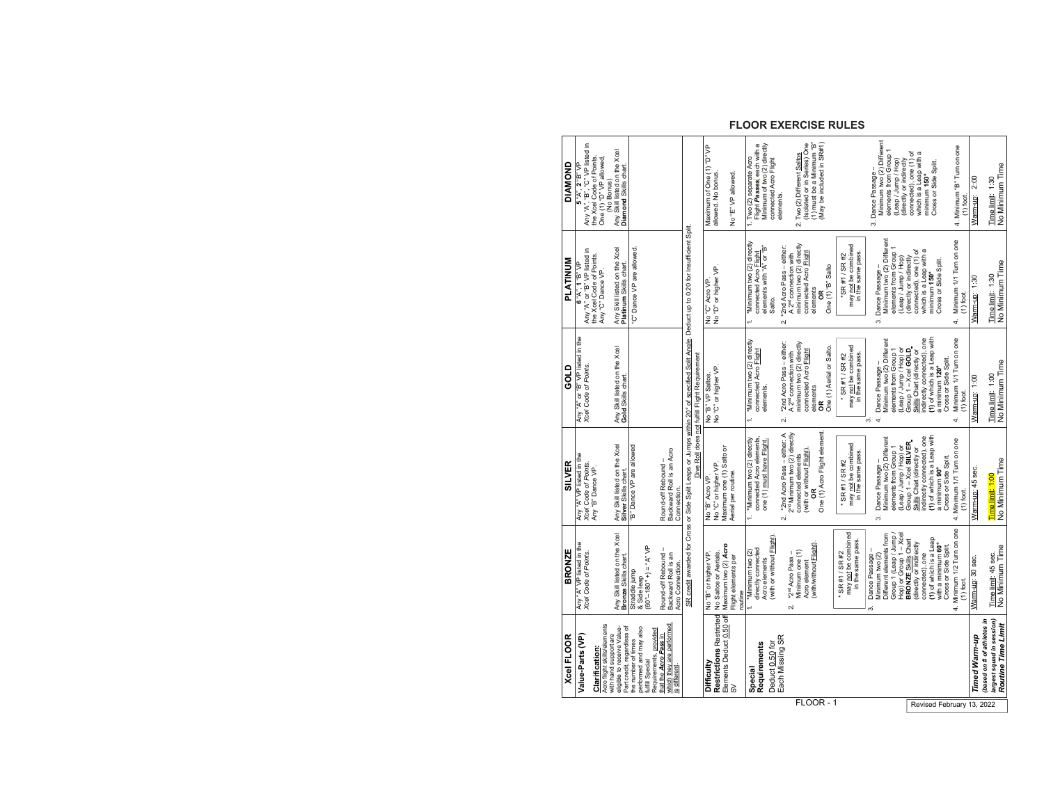| Xcel FLOOR                                                                                  | <b>BRONZE</b>                                                       | <b>SILVER</b>                                                                                                  | GOLD                                                                                                                                                                                     | <b>PLATINUM</b>                                                                                                | <b>DIAMOND</b>                                                                        |
|---------------------------------------------------------------------------------------------|---------------------------------------------------------------------|----------------------------------------------------------------------------------------------------------------|------------------------------------------------------------------------------------------------------------------------------------------------------------------------------------------|----------------------------------------------------------------------------------------------------------------|---------------------------------------------------------------------------------------|
| Value-Parts (VP)                                                                            | Any "A" VP listed in the<br>Xcel Code of Points.                    | Any "A" VP listed in the<br>Xce/ Code of Points.                                                               | Any "A" or "B" VP listed in the<br><i>Xcel Code of Points</i> .                                                                                                                          | Any "A" or "B" VP listed in<br>6 "A", 1 "B" VF                                                                 | 5 "A", 2 "B" VP<br>Any "A", "B", "C" VP listed in<br>the Xcel Code of Points.         |
| Acro flight skills/elements<br><b>Clarification:</b>                                        |                                                                     | Any "B" Dance VP.                                                                                              |                                                                                                                                                                                          | the Xcel Code of Points.<br>Any "C" Dance VP.                                                                  | One (1) "D" VP allowed,<br>(No Bonus)                                                 |
| Part credit, regardless of<br>eligible to receive Value-<br>with hand support are           | Any Skill listed on the Xcel<br>Bronze Skills chart.                | Any Skill listed on the Xcel<br>Silver Skills chart.                                                           | Any Skill listed on the Xcel<br>Gold Skills chart.                                                                                                                                       | Any Skill listed on the Xcel<br>Platinum Skills chart.                                                         | Any Skill listed on the Xcel<br>Diamond Skills chart.                                 |
| performed and may also<br>the number of times<br><b>Tulfill Special</b>                     | $(60^{\circ}-180^{\circ}+)=$ "A" VP<br>Straddle jump<br>& Side leap | "B" Dance VP are allowed                                                                                       |                                                                                                                                                                                          | C" Dance VP are allowed.                                                                                       |                                                                                       |
| which they are performed<br>Requirements, provided<br>that the Acro Pass in<br>is different | Round-off Rebound –<br>Backward Roll is an<br>Acro Connection       | Backward Roll is an Acro<br>Round-off Rebound -<br>Connection                                                  |                                                                                                                                                                                          |                                                                                                                |                                                                                       |
|                                                                                             |                                                                     |                                                                                                                | SR credit awarded for Cross or Side Split Leaps or Jumps within 20° of specified Split Angle. Deduct up to 0.20 for Insufficient Split.<br>Dive Roll does not fulfill Flight Requirement |                                                                                                                |                                                                                       |
| Difficulty                                                                                  | No "B" or higher VP.                                                | No "B" Acro VP.                                                                                                | No "B" VP Saltos.<br>No "C" or higher VP.                                                                                                                                                | No "C" Acro VP.<br>No "D" or higher VP.                                                                        | Maximum of One (1) "D" VP                                                             |
| <b>Restrictions Restricted</b>                                                              | Maximum two (2) Acro<br>No Saltos or Aerials.                       | Maximum one (1) Salto or<br>No "C" or higher VP.                                                               |                                                                                                                                                                                          |                                                                                                                | allowed. No bonus.                                                                    |
| Elements Deduct 0.50 off<br>SV                                                              | Flight elements per<br>routine                                      | Aerial per routine.                                                                                            |                                                                                                                                                                                          |                                                                                                                | No "E" VP allowed.                                                                    |
| Requirements<br>Special                                                                     | directly connected<br>1. *Minimum two (2)<br>Acro elements          | 1. *Minimum two (2) directly<br>connected Acro elements.<br>one (1) must have Flight.                          | *Minimum two (2) directly<br>connected Acro Flight<br>elements.<br>$\ddot{ }$                                                                                                            | *Minimum two (2) directly<br>elements with "A" or "B"<br>connected Acro Flight                                 | Flight Passes, each with a<br>Minimum of two (2) directly<br>1. Two (2) separate Acro |
| Each Missing SR<br>Deduct 0.50 for                                                          | (with or without Flight)                                            |                                                                                                                |                                                                                                                                                                                          | Salto.                                                                                                         | connected Acro Flight<br>elements.                                                    |
|                                                                                             | Minimum one (1)<br>*2 <sup>nd</sup> Acro Pass -<br>$\sim$           | *2nd Acro Pass - either: A<br>2 <sup>nd</sup> Minimum two (2) directly<br>connected elements<br>$\overline{N}$ | "2nd Acro Pass - either:<br>minimum two (2) directly<br>A 2 <sup>nd</sup> connection with<br>$\overline{N}$                                                                              | minimum two (2) directly<br>"2nd Acro Pass - either:<br>A 2 <sup>nd</sup> connection with<br>$\mathbf{\Omega}$ | 2. Two (2) Different Saltos                                                           |
|                                                                                             | (with/without Flight).<br>Acro element                              | One (1) Acro Flight element.<br>(with or without <b>Flight</b> ).<br>õ                                         | connected Acro Flight<br>elements<br>ã                                                                                                                                                   | connected Acro Flight<br>elements<br>ã                                                                         | (Isolated or in Series) One<br>(1) must be a Minimum "B"<br>May be included in SR#1)  |
|                                                                                             |                                                                     |                                                                                                                | One (1) Aerial or Salto.                                                                                                                                                                 | One (1) "B" Salto                                                                                              |                                                                                       |
|                                                                                             | may not be combined<br>in the same pass.<br>* SR #1 / SR #2         | may not be combined<br>in the same pass.<br>* SR #1 / SR #2                                                    | may not be combined<br>in the same pass.<br>* SR #1 / SR #2                                                                                                                              | may not be combined<br>in the same pass.<br>*SR #1 / SR #2                                                     |                                                                                       |
|                                                                                             | Different elements from<br>Dance Passage -<br>Minimum two (2)<br>8  | Minimum two (2) Different<br>Dance Passage -<br>က်                                                             | Minimum two (2) Different<br>Dance Passage-<br>4.<br>က်                                                                                                                                  | Minimum two (2) Different<br>Dance Passage-<br>က်                                                              | Minimum two (2) Different<br>3. Dance Passage -                                       |
|                                                                                             | Group 1 (Leap / Jump /                                              | elements from Group 1                                                                                          | elements from Group 1                                                                                                                                                                    | elements from Group 1                                                                                          | elements from Group 1<br>(Leap / Jump / Hop)                                          |
|                                                                                             | Hop) or Group 1 - Xcel<br><b>BRONZE Skills Chart</b>                | Group 1 - Xcel SILVER<br>Leap / Jump / Hop) or                                                                 | Leap/Jump/Hop) or<br>Group 1 - Xcel GOLD                                                                                                                                                 | (Leap / Jump / Hop)<br>(directly or indirectly                                                                 | connected), one (1) of<br>directly or indirectly                                      |
|                                                                                             | (directly or indirectly<br>connected), one                          | indirectly connected), one<br>Skills Chart (directly or                                                        | Skills Chart (directly or<br>indirectly connected), one                                                                                                                                  | which is a Leap with a<br>connected), one (1) of                                                               | which is a Leap with a<br>minimum 150°                                                |
|                                                                                             | (1) of which is a Leap<br>with a minimum 60°                        | (1) of which is a Leap with<br>a minimum 90°                                                                   | (1) of which is a Leap with<br>a minimum 120°                                                                                                                                            | Cross or Side Split.<br>minimum 150°                                                                           | Cross or Side Split.                                                                  |
|                                                                                             | Cross or Side Split.                                                | Cross or Side Split.                                                                                           | Cross or Side Split.                                                                                                                                                                     |                                                                                                                |                                                                                       |
|                                                                                             | 4. Minimum 1/2 Turn on one<br>$(1)$ foot.                           | 4. Minimum 1/1 Turn on one<br>$(1)$ foot                                                                       | Minimum 1/1 Turn on one<br>$(1)$ foot<br>4                                                                                                                                               | Minimum 1/1 Tum on one<br>$(1)$ foot<br>4.                                                                     | 4. Minimum "B" Turn on one<br>$(1)$ foot                                              |
| Timed Warm-up                                                                               | Warm-up: 30 sec.                                                    | Nam-up: 45 sec.                                                                                                | Warm-up: 1:00                                                                                                                                                                            | Warm-up: 1:30                                                                                                  | $\frac{200}{200}$<br>Warm-up:                                                         |
| (based on # of athletes in<br>largest squad in session)                                     | Time limit: 45 sec.                                                 | Time limit: 1:00                                                                                               | Time limit: 1:00                                                                                                                                                                         | Time limit: 1:30                                                                                               | Time limit: 1:30                                                                      |
| Routine Time Limit                                                                          | No Minimum Time                                                     | No Minimum Time                                                                                                | No Minimum Time                                                                                                                                                                          | No Minimum Time                                                                                                | No Minimum Time                                                                       |

# **FLOOR EXERCISE RULES**

FLOOR - 1 Revised February 13, 2022